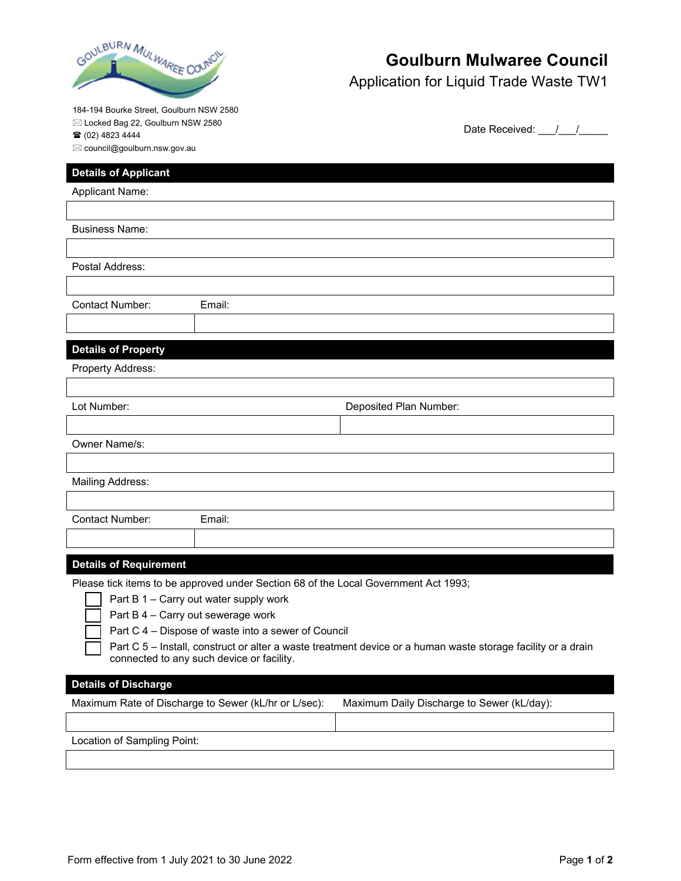

# **Goulburn Mulwaree Council**

Date Received: / /

Application for Liquid Trade Waste TW1

184-194 Bourke Street, Goulburn NSW 2580

Locked Bag 22, Goulburn NSW 2580

(02) 4823 4444

 $\boxtimes$  council@goulburn.nsw.gov.au

### **Details of Applicant**

Applicant Name:

Business Name:

Postal Address:

Email:

#### **Details of Property**

Property Address:

| Lot Number:                                                                                                                                                                                                                                                                                                                                                                               | Deposited Plan Number:                     |  |  |
|-------------------------------------------------------------------------------------------------------------------------------------------------------------------------------------------------------------------------------------------------------------------------------------------------------------------------------------------------------------------------------------------|--------------------------------------------|--|--|
|                                                                                                                                                                                                                                                                                                                                                                                           |                                            |  |  |
| Owner Name/s:                                                                                                                                                                                                                                                                                                                                                                             |                                            |  |  |
|                                                                                                                                                                                                                                                                                                                                                                                           |                                            |  |  |
| Mailing Address:                                                                                                                                                                                                                                                                                                                                                                          |                                            |  |  |
|                                                                                                                                                                                                                                                                                                                                                                                           |                                            |  |  |
| Contact Number:<br>Email:                                                                                                                                                                                                                                                                                                                                                                 |                                            |  |  |
|                                                                                                                                                                                                                                                                                                                                                                                           |                                            |  |  |
| <b>Details of Requirement</b>                                                                                                                                                                                                                                                                                                                                                             |                                            |  |  |
| Please tick items to be approved under Section 68 of the Local Government Act 1993;<br>Part $B$ 1 – Carry out water supply work<br>Part B 4 - Carry out sewerage work<br>Part C 4 – Dispose of waste into a sewer of Council<br>Part C 5 – Install, construct or alter a waste treatment device or a human waste storage facility or a drain<br>connected to any such device or facility. |                                            |  |  |
| <b>Details of Discharge</b>                                                                                                                                                                                                                                                                                                                                                               |                                            |  |  |
| Maximum Rate of Discharge to Sewer (kL/hr or L/sec):                                                                                                                                                                                                                                                                                                                                      | Maximum Daily Discharge to Sewer (kL/day): |  |  |
|                                                                                                                                                                                                                                                                                                                                                                                           |                                            |  |  |

Location of Sampling Point: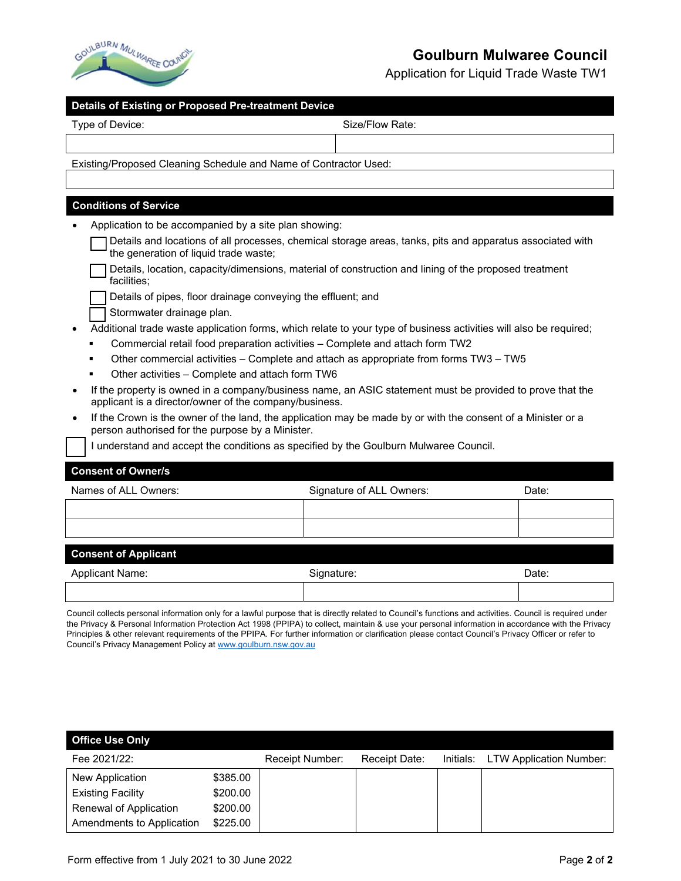

## **Goulburn Mulwaree Council**

Application for Liquid Trade Waste TW1

| Type of Device:                                                  | Size/Flow Rate:                                                                                                   |       |  |  |
|------------------------------------------------------------------|-------------------------------------------------------------------------------------------------------------------|-------|--|--|
|                                                                  |                                                                                                                   |       |  |  |
| Existing/Proposed Cleaning Schedule and Name of Contractor Used: |                                                                                                                   |       |  |  |
|                                                                  |                                                                                                                   |       |  |  |
| <b>Conditions of Service</b>                                     |                                                                                                                   |       |  |  |
| Application to be accompanied by a site plan showing:            |                                                                                                                   |       |  |  |
| the generation of liquid trade waste;                            | Details and locations of all processes, chemical storage areas, tanks, pits and apparatus associated with         |       |  |  |
| facilities;                                                      | Details, location, capacity/dimensions, material of construction and lining of the proposed treatment             |       |  |  |
|                                                                  | Details of pipes, floor drainage conveying the effluent; and                                                      |       |  |  |
| Stormwater drainage plan.                                        |                                                                                                                   |       |  |  |
|                                                                  | Additional trade waste application forms, which relate to your type of business activities will also be required; |       |  |  |
|                                                                  | Commercial retail food preparation activities - Complete and attach form TW2                                      |       |  |  |
|                                                                  | Other commercial activities - Complete and attach as appropriate from forms TW3 - TW5                             |       |  |  |
| Other activities - Complete and attach form TW6                  |                                                                                                                   |       |  |  |
| applicant is a director/owner of the company/business.           | If the property is owned in a company/business name, an ASIC statement must be provided to prove that the         |       |  |  |
| $\bullet$<br>person authorised for the purpose by a Minister.    | If the Crown is the owner of the land, the application may be made by or with the consent of a Minister or a      |       |  |  |
|                                                                  | I understand and accept the conditions as specified by the Goulburn Mulwaree Council.                             |       |  |  |
| <b>Consent of Owner/s</b>                                        |                                                                                                                   |       |  |  |
| Names of ALL Owners:                                             | Signature of ALL Owners:                                                                                          | Date: |  |  |
|                                                                  |                                                                                                                   |       |  |  |
|                                                                  |                                                                                                                   |       |  |  |
| <b>Consent of Applicant</b>                                      |                                                                                                                   |       |  |  |
|                                                                  |                                                                                                                   |       |  |  |

Applicant Name: Case of the Signature: Case of the Signature: Case of the Date: Date: Date: Date: Council collects personal information only for a lawful purpose that is directly related to Council's functions and activities. Council is required under

the Privacy & Personal Information Protection Act 1998 (PPIPA) to collect, maintain & use your personal information in accordance with the Privacy Principles & other relevant requirements of the PPIPA. For further information or clarification please contact Council's Privacy Officer or refer to Council's Privacy Management Policy at www.goulburn.nsw.gov.au

| <b>Office Use Only</b>    |          |                 |               |           |                                |
|---------------------------|----------|-----------------|---------------|-----------|--------------------------------|
| Fee 2021/22:              |          | Receipt Number: | Receipt Date: | Initials: | <b>LTW Application Number:</b> |
| New Application           | \$385.00 |                 |               |           |                                |
| <b>Existing Facility</b>  | \$200.00 |                 |               |           |                                |
| Renewal of Application    | \$200.00 |                 |               |           |                                |
| Amendments to Application | \$225.00 |                 |               |           |                                |